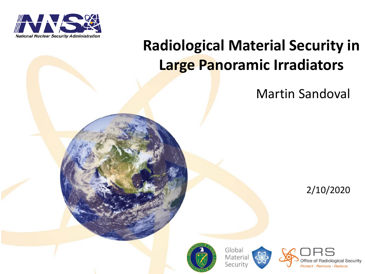

## **Radiological Material Security in Large Panoramic Irradiators**

Martin Sandoval

2/10/2020



Global Material Security

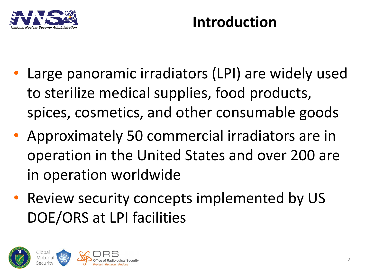

#### **Introduction**

- Large panoramic irradiators (LPI) are widely used to sterilize medical supplies, food products, spices, cosmetics, and other consumable goods
- Approximately 50 commercial irradiators are in operation in the United States and over 200 are in operation worldwide
- Review security concepts implemented by US DOE/ORS at LPI facilities

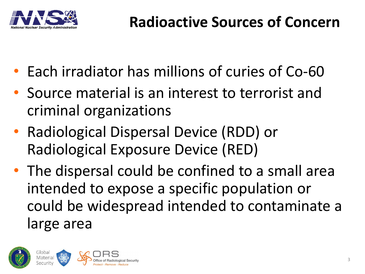

- Each irradiator has millions of curies of Co-60
- Source material is an interest to terrorist and criminal organizations
- Radiological Dispersal Device (RDD) or Radiological Exposure Device (RED)
- The dispersal could be confined to a small area intended to expose a specific population or could be widespread intended to contaminate a large area

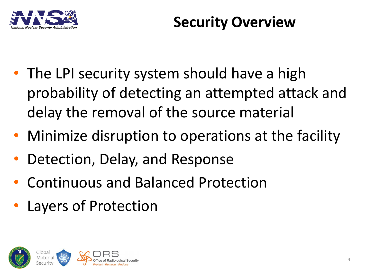

#### **Security Overview**

- The LPI security system should have a high probability of detecting an attempted attack and delay the removal of the source material
- Minimize disruption to operations at the facility
- Detection, Delay, and Response
- Continuous and Balanced Protection
- Layers of Protection

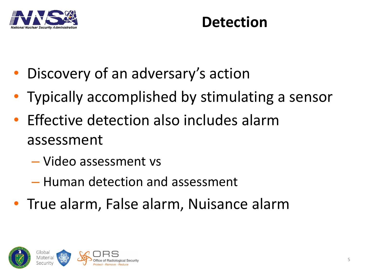

#### **Detection**

- Discovery of an adversary's action
- Typically accomplished by stimulating a sensor
- Effective detection also includes alarm assessment
	- Video assessment vs
	- Human detection and assessment
- True alarm, False alarm, Nuisance alarm

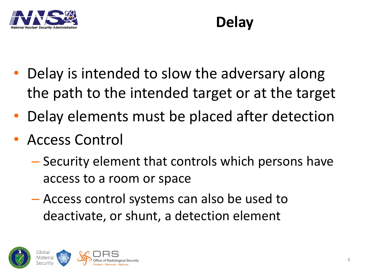

# **Delay**

- Delay is intended to slow the adversary along the path to the intended target or at the target
- Delay elements must be placed after detection
- Access Control
	- Security element that controls which persons have access to a room or space
	- Access control systems can also be used to deactivate, or shunt, a detection element

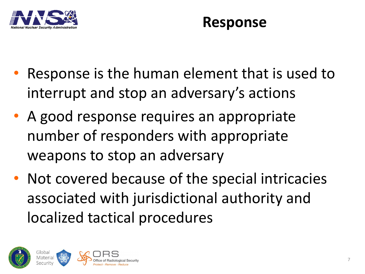

#### **Response**

- Response is the human element that is used to interrupt and stop an adversary's actions
- A good response requires an appropriate number of responders with appropriate weapons to stop an adversary
- Not covered because of the special intricacies associated with jurisdictional authority and localized tactical procedures

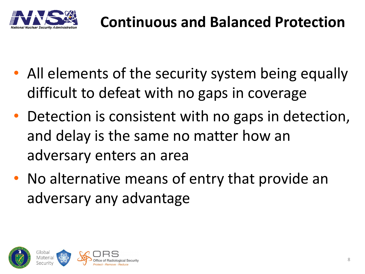

- All elements of the security system being equally difficult to defeat with no gaps in coverage
- Detection is consistent with no gaps in detection, and delay is the same no matter how an adversary enters an area
- No alternative means of entry that provide an adversary any advantage

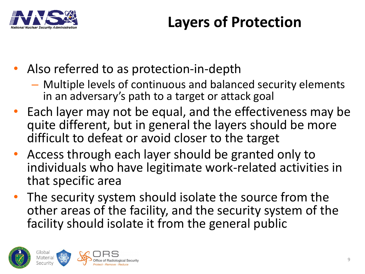

## **Layers of Protection**

- Also referred to as protection-in-depth
	- Multiple levels of continuous and balanced security elements in an adversary's path to a target or attack goal
- Each layer may not be equal, and the effectiveness may be quite different, but in general the layers should be more difficult to defeat or avoid closer to the target
- Access through each layer should be granted only to individuals who have legitimate work-related activities in that specific area
- The security system should isolate the source from the other areas of the facility, and the security system of the facility should isolate it from the general public

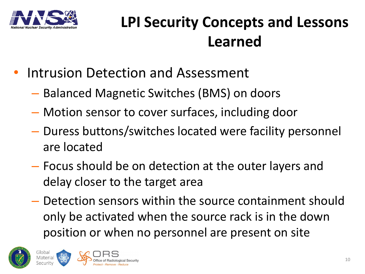

## **LPI Security Concepts and Lessons Learned**

- Intrusion Detection and Assessment
	- Balanced Magnetic Switches (BMS) on doors
	- Motion sensor to cover surfaces, including door
	- Duress buttons/switches located were facility personnel are located
	- Focus should be on detection at the outer layers and delay closer to the target area
	- Detection sensors within the source containment should only be activated when the source rack is in the down position or when no personnel are present on site





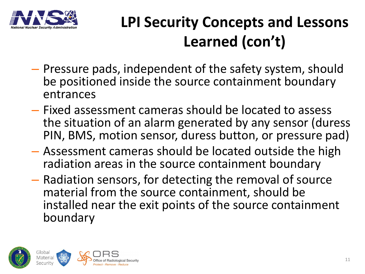

# **LPI Security Concepts and Lessons Learned (con't)**

- Pressure pads, independent of the safety system, should be positioned inside the source containment boundary entrances
- Fixed assessment cameras should be located to assess the situation of an alarm generated by any sensor (duress PIN, BMS, motion sensor, duress button, or pressure pad)
- Assessment cameras should be located outside the high radiation areas in the source containment boundary
- Radiation sensors, for detecting the removal of source material from the source containment, should be installed near the exit points of the source containment boundary

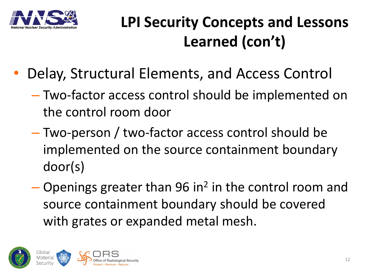

# **LPI Security Concepts and Lessons Learned (con't)**

- Delay, Structural Elements, and Access Control
	- Two-factor access control should be implemented on the control room door
	- Two-person / two-factor access control should be implemented on the source containment boundary door(s)
	- $-$  Openings greater than 96 in<sup>2</sup> in the control room and source containment boundary should be covered with grates or expanded metal mesh.

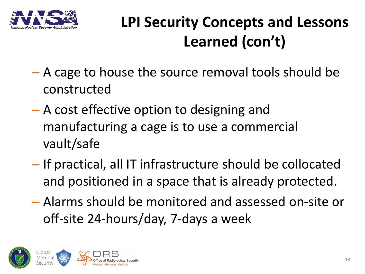

# **LPI Security Concepts and Lessons Learned (con't)**

- A cage to house the source removal tools should be constructed
- A cost effective option to designing and manufacturing a cage is to use a commercial vault/safe
- If practical, all IT infrastructure should be collocated and positioned in a space that is already protected.
- Alarms should be monitored and assessed on-site or off-site 24-hours/day, 7-days a week